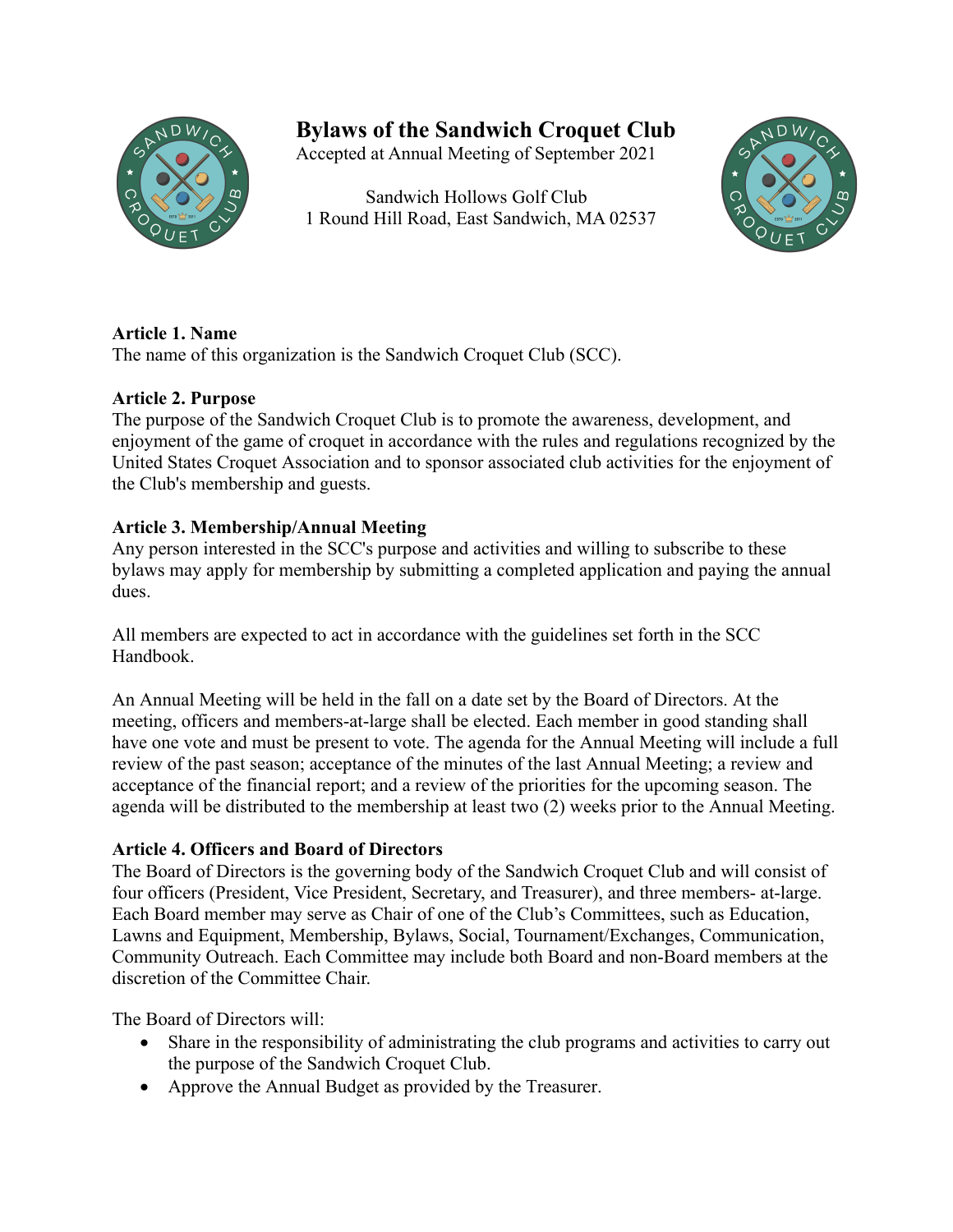

# **Bylaws of the Sandwich Croquet Club**

Accepted at Annual Meeting of September 2021

 Sandwich Hollows Golf Club 1 Round Hill Road, East Sandwich, MA 02537



## **Article 1. Name**

The name of this organization is the Sandwich Croquet Club (SCC).

## **Article 2. Purpose**

The purpose of the Sandwich Croquet Club is to promote the awareness, development, and enjoyment of the game of croquet in accordance with the rules and regulations recognized by the United States Croquet Association and to sponsor associated club activities for the enjoyment of the Club's membership and guests.

## **Article 3. Membership/Annual Meeting**

Any person interested in the SCC's purpose and activities and willing to subscribe to these bylaws may apply for membership by submitting a completed application and paying the annual dues.

All members are expected to act in accordance with the guidelines set forth in the SCC Handbook.

An Annual Meeting will be held in the fall on a date set by the Board of Directors. At the meeting, officers and members-at-large shall be elected. Each member in good standing shall have one vote and must be present to vote. The agenda for the Annual Meeting will include a full review of the past season; acceptance of the minutes of the last Annual Meeting; a review and acceptance of the financial report; and a review of the priorities for the upcoming season. The agenda will be distributed to the membership at least two (2) weeks prior to the Annual Meeting.

## **Article 4. Officers and Board of Directors**

The Board of Directors is the governing body of the Sandwich Croquet Club and will consist of four officers (President, Vice President, Secretary, and Treasurer), and three members- at-large. Each Board member may serve as Chair of one of the Club's Committees, such as Education, Lawns and Equipment, Membership, Bylaws, Social, Tournament/Exchanges, Communication, Community Outreach. Each Committee may include both Board and non-Board members at the discretion of the Committee Chair.

The Board of Directors will:

- Share in the responsibility of administrating the club programs and activities to carry out the purpose of the Sandwich Croquet Club.
- Approve the Annual Budget as provided by the Treasurer.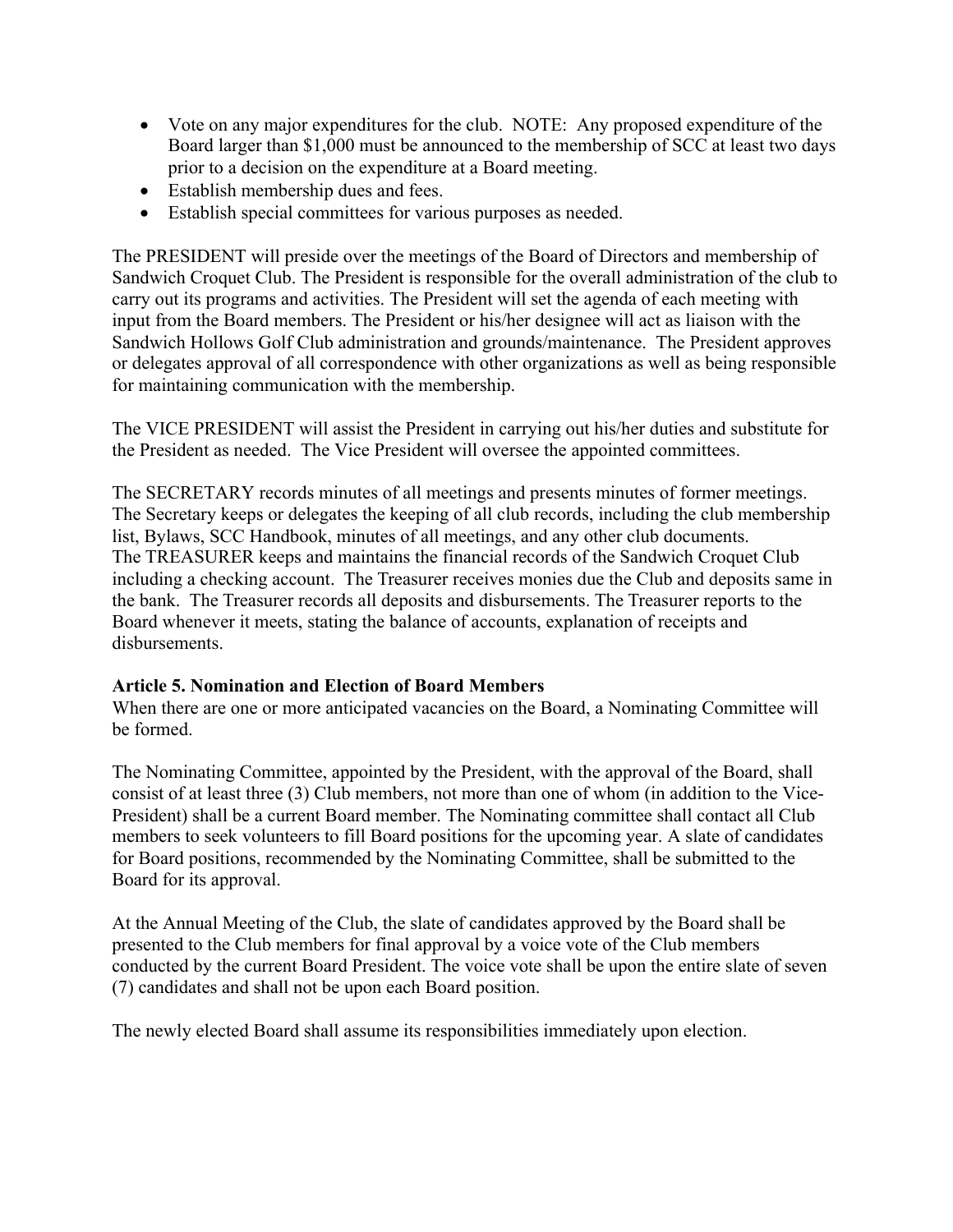- Vote on any major expenditures for the club. NOTE: Any proposed expenditure of the Board larger than \$1,000 must be announced to the membership of SCC at least two days prior to a decision on the expenditure at a Board meeting.
- Establish membership dues and fees.
- Establish special committees for various purposes as needed.

The PRESIDENT will preside over the meetings of the Board of Directors and membership of Sandwich Croquet Club. The President is responsible for the overall administration of the club to carry out its programs and activities. The President will set the agenda of each meeting with input from the Board members. The President or his/her designee will act as liaison with the Sandwich Hollows Golf Club administration and grounds/maintenance. The President approves or delegates approval of all correspondence with other organizations as well as being responsible for maintaining communication with the membership.

The VICE PRESIDENT will assist the President in carrying out his/her duties and substitute for the President as needed. The Vice President will oversee the appointed committees.

The SECRETARY records minutes of all meetings and presents minutes of former meetings. The Secretary keeps or delegates the keeping of all club records, including the club membership list, Bylaws, SCC Handbook, minutes of all meetings, and any other club documents. The TREASURER keeps and maintains the financial records of the Sandwich Croquet Club including a checking account. The Treasurer receives monies due the Club and deposits same in the bank. The Treasurer records all deposits and disbursements. The Treasurer reports to the Board whenever it meets, stating the balance of accounts, explanation of receipts and disbursements.

#### **Article 5. Nomination and Election of Board Members**

When there are one or more anticipated vacancies on the Board, a Nominating Committee will be formed.

The Nominating Committee, appointed by the President, with the approval of the Board, shall consist of at least three (3) Club members, not more than one of whom (in addition to the Vice-President) shall be a current Board member. The Nominating committee shall contact all Club members to seek volunteers to fill Board positions for the upcoming year. A slate of candidates for Board positions, recommended by the Nominating Committee, shall be submitted to the Board for its approval.

At the Annual Meeting of the Club, the slate of candidates approved by the Board shall be presented to the Club members for final approval by a voice vote of the Club members conducted by the current Board President. The voice vote shall be upon the entire slate of seven (7) candidates and shall not be upon each Board position.

The newly elected Board shall assume its responsibilities immediately upon election.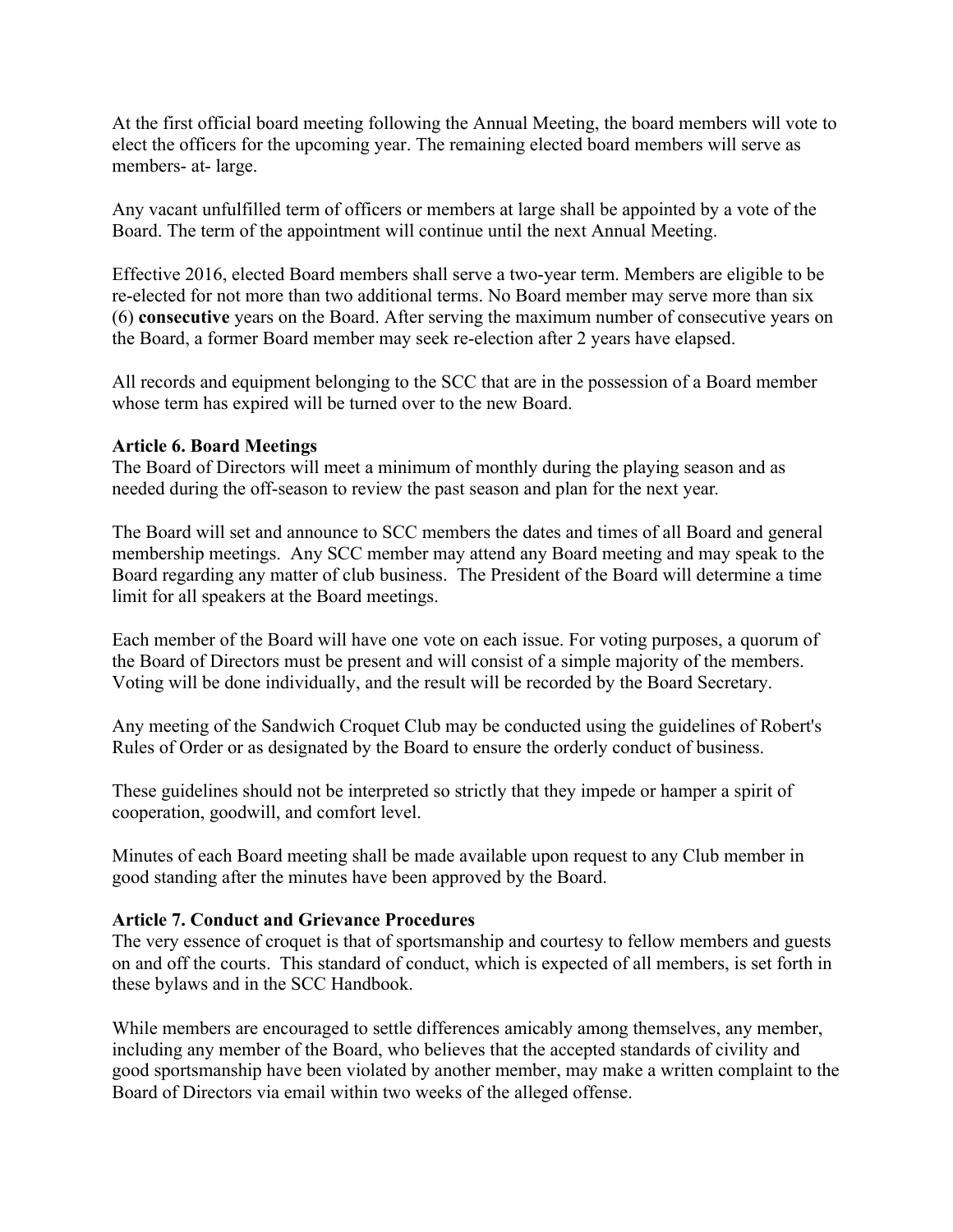At the first official board meeting following the Annual Meeting, the board members will vote to elect the officers for the upcoming year. The remaining elected board members will serve as members- at- large.

Any vacant unfulfilled term of officers or members at large shall be appointed by a vote of the Board. The term of the appointment will continue until the next Annual Meeting.

Effective 2016, elected Board members shall serve a two-year term. Members are eligible to be re-elected for not more than two additional terms. No Board member may serve more than six (6) **consecutive** years on the Board. After serving the maximum number of consecutive years on the Board, a former Board member may seek re-election after 2 years have elapsed.

All records and equipment belonging to the SCC that are in the possession of a Board member whose term has expired will be turned over to the new Board.

#### **Article 6. Board Meetings**

The Board of Directors will meet a minimum of monthly during the playing season and as needed during the off-season to review the past season and plan for the next year.

The Board will set and announce to SCC members the dates and times of all Board and general membership meetings. Any SCC member may attend any Board meeting and may speak to the Board regarding any matter of club business. The President of the Board will determine a time limit for all speakers at the Board meetings.

Each member of the Board will have one vote on each issue. For voting purposes, a quorum of the Board of Directors must be present and will consist of a simple majority of the members. Voting will be done individually, and the result will be recorded by the Board Secretary.

Any meeting of the Sandwich Croquet Club may be conducted using the guidelines of Robert's Rules of Order or as designated by the Board to ensure the orderly conduct of business.

These guidelines should not be interpreted so strictly that they impede or hamper a spirit of cooperation, goodwill, and comfort level.

Minutes of each Board meeting shall be made available upon request to any Club member in good standing after the minutes have been approved by the Board.

#### **Article 7. Conduct and Grievance Procedures**

The very essence of croquet is that of sportsmanship and courtesy to fellow members and guests on and off the courts. This standard of conduct, which is expected of all members, is set forth in these bylaws and in the SCC Handbook.

While members are encouraged to settle differences amicably among themselves, any member, including any member of the Board, who believes that the accepted standards of civility and good sportsmanship have been violated by another member, may make a written complaint to the Board of Directors via email within two weeks of the alleged offense.